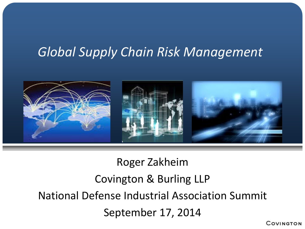# *Global Supply Chain Risk Management*



Roger Zakheim Covington & Burling LLP National Defense Industrial Association Summit September 17, 2014

COVINGTON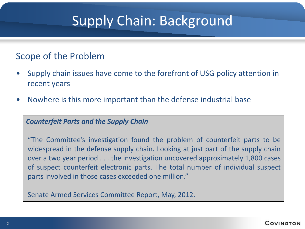# Supply Chain: Background

#### Scope of the Problem

- Supply chain issues have come to the forefront of USG policy attention in recent years
- Nowhere is this more important than the defense industrial base

#### *Counterfeit Parts and the Supply Chain*

"The Committee's investigation found the problem of counterfeit parts to be widespread in the defense supply chain. Looking at just part of the supply chain over a two year period . . . the investigation uncovered approximately 1,800 cases of suspect counterfeit electronic parts. The total number of individual suspect parts involved in those cases exceeded one million."

Senate Armed Services Committee Report, May, 2012.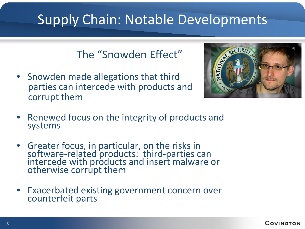# Supply Chain: Notable Developments

#### The "Snowden Effect"

• Snowden made allegations that third parties can intercede with products and corrupt them



- Renewed focus on the integrity of products and systems
- Greater focus, in particular, on the risks in software-related products: third-parties can intercede with products and insert malware or otherwise corrupt them
- Exacerbated existing government concern over counterfeit parts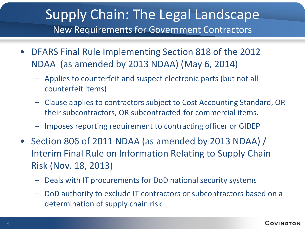- DFARS Final Rule Implementing Section 818 of the 2012 NDAA (as amended by 2013 NDAA) (May 6, 2014)
	- Applies to counterfeit and suspect electronic parts (but not all counterfeit items)
	- Clause applies to contractors subject to Cost Accounting Standard, OR their subcontractors, OR subcontracted-for commercial items.
	- Imposes reporting requirement to contracting officer or GIDEP
- Section 806 of 2011 NDAA (as amended by 2013 NDAA) / Interim Final Rule on Information Relating to Supply Chain Risk (Nov. 18, 2013)
	- Deals with IT procurements for DoD national security systems
	- DoD authority to exclude IT contractors or subcontractors based on a determination of supply chain risk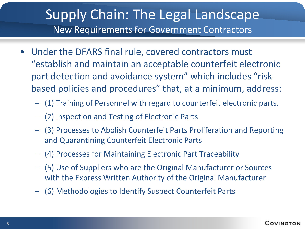- Under the DFARS final rule, covered contractors must "establish and maintain an acceptable counterfeit electronic part detection and avoidance system" which includes "riskbased policies and procedures" that, at a minimum, address:
	- (1) Training of Personnel with regard to counterfeit electronic parts.
	- (2) Inspection and Testing of Electronic Parts
	- (3) Processes to Abolish Counterfeit Parts Proliferation and Reporting and Quarantining Counterfeit Electronic Parts
	- (4) Processes for Maintaining Electronic Part Traceability
	- (5) Use of Suppliers who are the Original Manufacturer or Sources with the Express Written Authority of the Original Manufacturer
	- (6) Methodologies to Identify Suspect Counterfeit Parts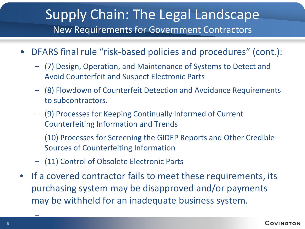- DFARS final rule "risk-based policies and procedures" (cont.):
	- (7) Design, Operation, and Maintenance of Systems to Detect and Avoid Counterfeit and Suspect Electronic Parts
	- (8) Flowdown of Counterfeit Detection and Avoidance Requirements to subcontractors.
	- (9) Processes for Keeping Continually Informed of Current Counterfeiting Information and Trends
	- (10) Processes for Screening the GIDEP Reports and Other Credible Sources of Counterfeiting Information
	- (11) Control of Obsolete Electronic Parts
- If a covered contractor fails to meet these requirements, its purchasing system may be disapproved and/or payments may be withheld for an inadequate business system.

–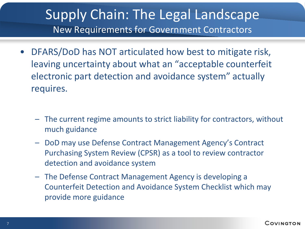- DFARS/DoD has NOT articulated how best to mitigate risk, leaving uncertainty about what an "acceptable counterfeit electronic part detection and avoidance system" actually requires.
	- The current regime amounts to strict liability for contractors, without much guidance
	- DoD may use Defense Contract Management Agency's Contract Purchasing System Review (CPSR) as a tool to review contractor detection and avoidance system
	- The Defense Contract Management Agency is developing a Counterfeit Detection and Avoidance System Checklist which may provide more guidance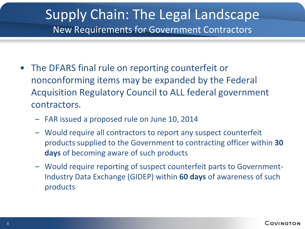- The DFARS final rule on reporting counterfeit or nonconforming items may be expanded by the Federal Acquisition Regulatory Council to ALL federal government contractors.
	- FAR issued a proposed rule on June 10, 2014
	- Would require all contractors to report any suspect counterfeit products supplied to the Government to contracting officer within **30 days** of becoming aware of such products
	- Would require reporting of suspect counterfeit parts to Government-Industry Data Exchange (GIDEP) within **60 days** of awareness of such products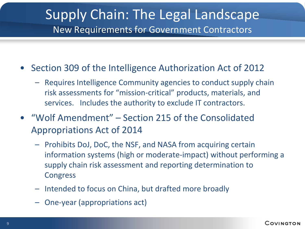- Section 309 of the Intelligence Authorization Act of 2012
	- Requires Intelligence Community agencies to conduct supply chain risk assessments for "mission-critical" products, materials, and services. Includes the authority to exclude IT contractors.
- "Wolf Amendment" Section 215 of the Consolidated Appropriations Act of 2014
	- Prohibits DoJ, DoC, the NSF, and NASA from acquiring certain information systems (high or moderate-impact) without performing a supply chain risk assessment and reporting determination to **Congress**
	- Intended to focus on China, but drafted more broadly
	- One-year (appropriations act)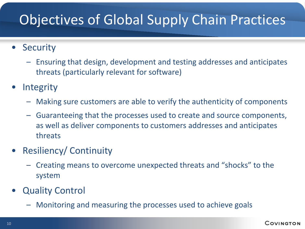# Objectives of Global Supply Chain Practices

#### • Security

- Ensuring that design, development and testing addresses and anticipates threats (particularly relevant for software)
- **Integrity** 
	- Making sure customers are able to verify the authenticity of components
	- Guaranteeing that the processes used to create and source components, as well as deliver components to customers addresses and anticipates threats
- Resiliency/ Continuity
	- Creating means to overcome unexpected threats and "shocks" to the system
- **Quality Control** 
	- Monitoring and measuring the processes used to achieve goals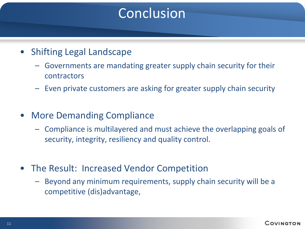# Conclusion

- Shifting Legal Landscape
	- Governments are mandating greater supply chain security for their contractors
	- Even private customers are asking for greater supply chain security
- More Demanding Compliance
	- Compliance is multilayered and must achieve the overlapping goals of security, integrity, resiliency and quality control.
- The Result: Increased Vendor Competition
	- Beyond any minimum requirements, supply chain security will be a competitive (dis)advantage,